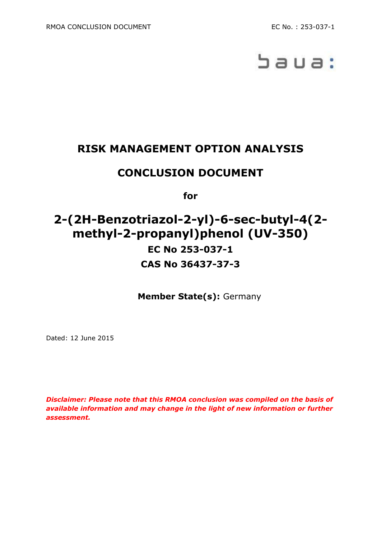

# **RISK MANAGEMENT OPTION ANALYSIS**

## **CONCLUSION DOCUMENT**

**for**

# **2-(2H-Benzotriazol-2-yl)-6-sec-butyl-4(2 methyl-2-propanyl)phenol (UV-350) EC No 253-037-1 CAS No 36437-37-3**

**Member State(s):** Germany

Dated: 12 June 2015

*Disclaimer: Please note that this RMOA conclusion was compiled on the basis of available information and may change in the light of new information or further assessment.*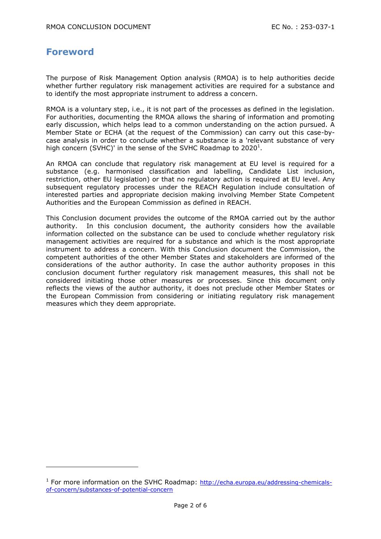#### **Foreword**

-

The purpose of Risk Management Option analysis (RMOA) is to help authorities decide whether further regulatory risk management activities are required for a substance and to identify the most appropriate instrument to address a concern.

RMOA is a voluntary step, i.e., it is not part of the processes as defined in the legislation. For authorities, documenting the RMOA allows the sharing of information and promoting early discussion, which helps lead to a common understanding on the action pursued. A Member State or ECHA (at the request of the Commission) can carry out this case-bycase analysis in order to conclude whether a substance is a 'relevant substance of very high concern (SVHC)' in the sense of the SVHC Roadmap to 2020<sup>1</sup>.

An RMOA can conclude that regulatory risk management at EU level is required for a substance (e.g. harmonised classification and labelling, Candidate List inclusion, restriction, other EU legislation) or that no regulatory action is required at EU level. Any subsequent regulatory processes under the REACH Regulation include consultation of interested parties and appropriate decision making involving Member State Competent Authorities and the European Commission as defined in REACH.

This Conclusion document provides the outcome of the RMOA carried out by the author authority. In this conclusion document, the authority considers how the available information collected on the substance can be used to conclude whether regulatory risk management activities are required for a substance and which is the most appropriate instrument to address a concern. With this Conclusion document the Commission, the competent authorities of the other Member States and stakeholders are informed of the considerations of the author authority. In case the author authority proposes in this conclusion document further regulatory risk management measures, this shall not be considered initiating those other measures or processes. Since this document only reflects the views of the author authority, it does not preclude other Member States or the European Commission from considering or initiating regulatory risk management measures which they deem appropriate.

<sup>&</sup>lt;sup>1</sup> For more information on the SVHC Roadmap: [http://echa.europa.eu/addressing-chemicals](http://echa.europa.eu/addressing-chemicals-of-concern/substances-of-potential-concern)[of-concern/substances-of-potential-concern](http://echa.europa.eu/addressing-chemicals-of-concern/substances-of-potential-concern)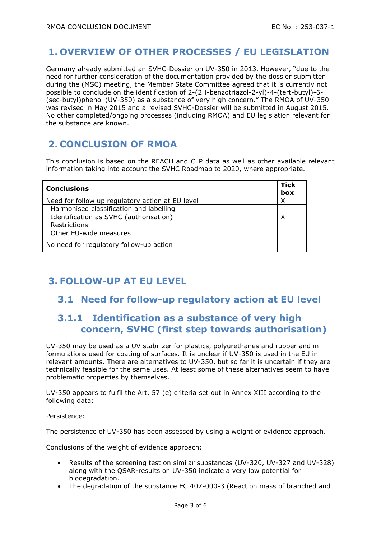## **1. OVERVIEW OF OTHER PROCESSES / EU LEGISLATION**

Germany already submitted an SVHC-Dossier on UV-350 in 2013. However, "due to the need for further consideration of the documentation provided by the dossier submitter during the (MSC) meeting, the Member State Committee agreed that it is currently not possible to conclude on the identification of 2-(2H-benzotriazol-2-yl)-4-(tert-butyl)-6- (sec-butyl)phenol (UV-350) as a substance of very high concern." The RMOA of UV-350 was revised in May 2015 and a revised SVHC-Dossier will be submitted in August 2015. No other completed/ongoing processes (including RMOA) and EU legislation relevant for the substance are known.

## **2. CONCLUSION OF RMOA**

This conclusion is based on the REACH and CLP data as well as other available relevant information taking into account the SVHC Roadmap to 2020, where appropriate.

| <b>Conclusions</b>                               | <b>Tick</b><br>box |
|--------------------------------------------------|--------------------|
| Need for follow up regulatory action at EU level | Χ                  |
| Harmonised classification and labelling          |                    |
| Identification as SVHC (authorisation)           | ◡                  |
| Restrictions                                     |                    |
| Other EU-wide measures                           |                    |
| No need for regulatory follow-up action          |                    |

# **3. FOLLOW-UP AT EU LEVEL**

#### **3.1 Need for follow-up regulatory action at EU level**

## **3.1.1 Identification as a substance of very high concern, SVHC (first step towards authorisation)**

UV-350 may be used as a UV stabilizer for plastics, polyurethanes and rubber and in formulations used for coating of surfaces. It is unclear if UV-350 is used in the EU in relevant amounts. There are alternatives to UV-350, but so far it is uncertain if they are technically feasible for the same uses. At least some of these alternatives seem to have problematic properties by themselves.

UV-350 appears to fulfil the Art. 57 (e) criteria set out in Annex XIII according to the following data:

#### Persistence:

The persistence of UV-350 has been assessed by using a weight of evidence approach.

Conclusions of the weight of evidence approach:

- Results of the screening test on similar substances (UV-320, UV-327 and UV-328) along with the QSAR-results on UV-350 indicate a very low potential for biodegradation.
- The degradation of the substance EC 407-000-3 (Reaction mass of branched and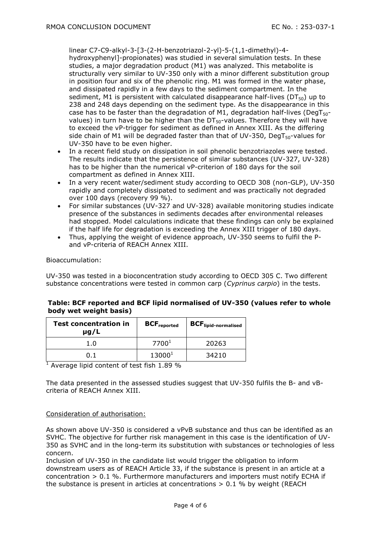linear C7-C9-alkyl-3-[3-(2-H-benzotriazol-2-yl)-5-(1,1-dimethyl)-4 hydroxyphenyl]-propionates) was studied in several simulation tests. In these studies, a major degradation product (M1) was analyzed. This metabolite is structurally very similar to UV-350 only with a minor different substitution group in position four and six of the phenolic ring. M1 was formed in the water phase, and dissipated rapidly in a few days to the sediment compartment. In the sediment, M1 is persistent with calculated disappearance half-lives ( $DT_{50}$ ) up to 238 and 248 days depending on the sediment type. As the disappearance in this case has to be faster than the degradation of M1, degradation half-lives (DegT<sub>50</sub>values) in turn have to be higher than the  $DT_{50}$ -values. Therefore they will have to exceed the vP-trigger for sediment as defined in Annex XIII. As the differing side chain of M1 will be degraded faster than that of UV-350, DegT $_{50}$ -values for UV-350 have to be even higher.

- In a recent field study on dissipation in soil phenolic benzotriazoles were tested. The results indicate that the persistence of similar substances (UV-327, UV-328) has to be higher than the numerical vP-criterion of 180 days for the soil compartment as defined in Annex XIII.
- In a very recent water/sediment study according to OECD 308 (non-GLP), UV-350 rapidly and completely dissipated to sediment and was practically not degraded over 100 days (recovery 99 %).
- For similar substances (UV-327 and UV-328) available monitoring studies indicate presence of the substances in sediments decades after environmental releases had stopped. Model calculations indicate that these findings can only be explained if the half life for degradation is exceeding the Annex XIII trigger of 180 days.
- Thus, applying the weight of evidence approach, UV-350 seems to fulfil the Pand vP-criteria of REACH Annex XIII.

#### Bioaccumulation:

UV-350 was tested in a bioconcentration study according to OECD 305 C. Two different substance concentrations were tested in common carp (*Cyprinus carpio*) in the tests.

| <b>Test concentration in</b><br>$\mu$ g/L | <b>BCF</b> reported | <b>BCF</b> lipid-normalised |
|-------------------------------------------|---------------------|-----------------------------|
| 1.0                                       | 7700 <sup>1</sup>   | 20263                       |
| ก 1                                       | $13000^{1}$         | 34210                       |

#### **Table: BCF reported and BCF lipid normalised of UV-350 (values refer to whole body wet weight basis)**

 $\frac{1}{1}$  Average lipid content of test fish 1.89 %

The data presented in the assessed studies suggest that UV-350 fulfils the B- and vBcriteria of REACH Annex XIII.

#### Consideration of authorisation:

As shown above UV-350 is considered a vPvB substance and thus can be identified as an SVHC. The objective for further risk management in this case is the identification of UV-350 as SVHC and in the long-term its substitution with substances or technologies of less concern.

Inclusion of UV-350 in the candidate list would trigger the obligation to inform downstream users as of REACH Article 33, if the substance is present in an article at a concentration  $> 0.1$  %. Furthermore manufacturers and importers must notify ECHA if the substance is present in articles at concentrations  $> 0.1$  % by weight (REACH)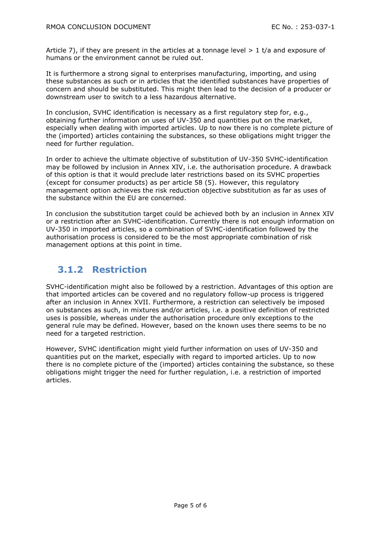Article 7), if they are present in the articles at a tonnage level  $> 1$  t/a and exposure of humans or the environment cannot be ruled out.

It is furthermore a strong signal to enterprises manufacturing, importing, and using these substances as such or in articles that the identified substances have properties of concern and should be substituted. This might then lead to the decision of a producer or downstream user to switch to a less hazardous alternative.

In conclusion, SVHC identification is necessary as a first regulatory step for, e.g., obtaining further information on uses of UV-350 and quantities put on the market, especially when dealing with imported articles. Up to now there is no complete picture of the (imported) articles containing the substances, so these obligations might trigger the need for further regulation.

In order to achieve the ultimate objective of substitution of UV-350 SVHC-identification may be followed by inclusion in Annex XIV, i.e. the authorisation procedure. A drawback of this option is that it would preclude later restrictions based on its SVHC properties (except for consumer products) as per article 58 (5). However, this regulatory management option achieves the risk reduction objective substitution as far as uses of the substance within the EU are concerned.

In conclusion the substitution target could be achieved both by an inclusion in Annex XIV or a restriction after an SVHC-identification. Currently there is not enough information on UV-350 in imported articles, so a combination of SVHC-identification followed by the authorisation process is considered to be the most appropriate combination of risk management options at this point in time.

## **3.1.2 Restriction**

SVHC-identification might also be followed by a restriction. Advantages of this option are that imported articles can be covered and no regulatory follow-up process is triggered after an inclusion in Annex XVII. Furthermore, a restriction can selectively be imposed on substances as such, in mixtures and/or articles, i.e. a positive definition of restricted uses is possible, whereas under the authorisation procedure only exceptions to the general rule may be defined. However, based on the known uses there seems to be no need for a targeted restriction.

However, SVHC identification might yield further information on uses of UV-350 and quantities put on the market, especially with regard to imported articles. Up to now there is no complete picture of the (imported) articles containing the substance, so these obligations might trigger the need for further regulation, i.e. a restriction of imported articles.